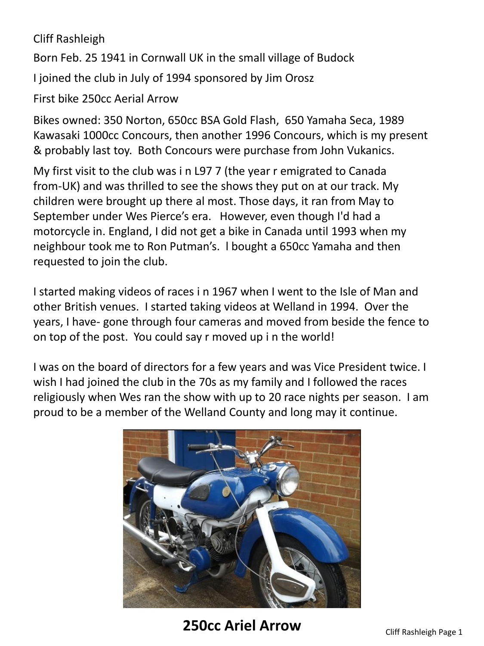## Cliff Rashleigh

Born Feb. 25 1941 in Cornwall UK in the small village of Budock

I joined the club in July of 1994 sponsored by Jim Orosz

First bike 250cc Aerial Arrow

Bikes owned: 350 Norton, 650cc BSA Gold Flash, 650 Yamaha Seca, 1989 Kawasaki 1000cc Concours, then another 1996 Concours, which is my present & probably last toy. Both Concours were purchase from John Vukanics.

My first visit to the club was i n L97 7 (the year r emigrated to Canada from-UK) and was thrilled to see the shows they put on at our track. My children were brought up there al most. Those days, it ran from May to September under Wes Pierce's era. However, even though I'd had a motorcycle in. England, I did not get a bike in Canada until 1993 when my neighbour took me to Ron Putman's. l bought a 650cc Yamaha and then requested to join the club.

I started making videos of races i n 1967 when I went to the Isle of Man and other British venues. I started taking videos at Welland in 1994. Over the years, I have- gone through four cameras and moved from beside the fence to on top of the post. You could say r moved up i n the world!

I was on the board of directors for a few years and was Vice President twice. I wish I had joined the club in the 70s as my family and I followed the races religiously when Wes ran the show with up to 20 race nights per season. I am proud to be a member of the Welland County and long may it continue.



**250cc Ariel Arrow** Cliff Rashleigh Page 1